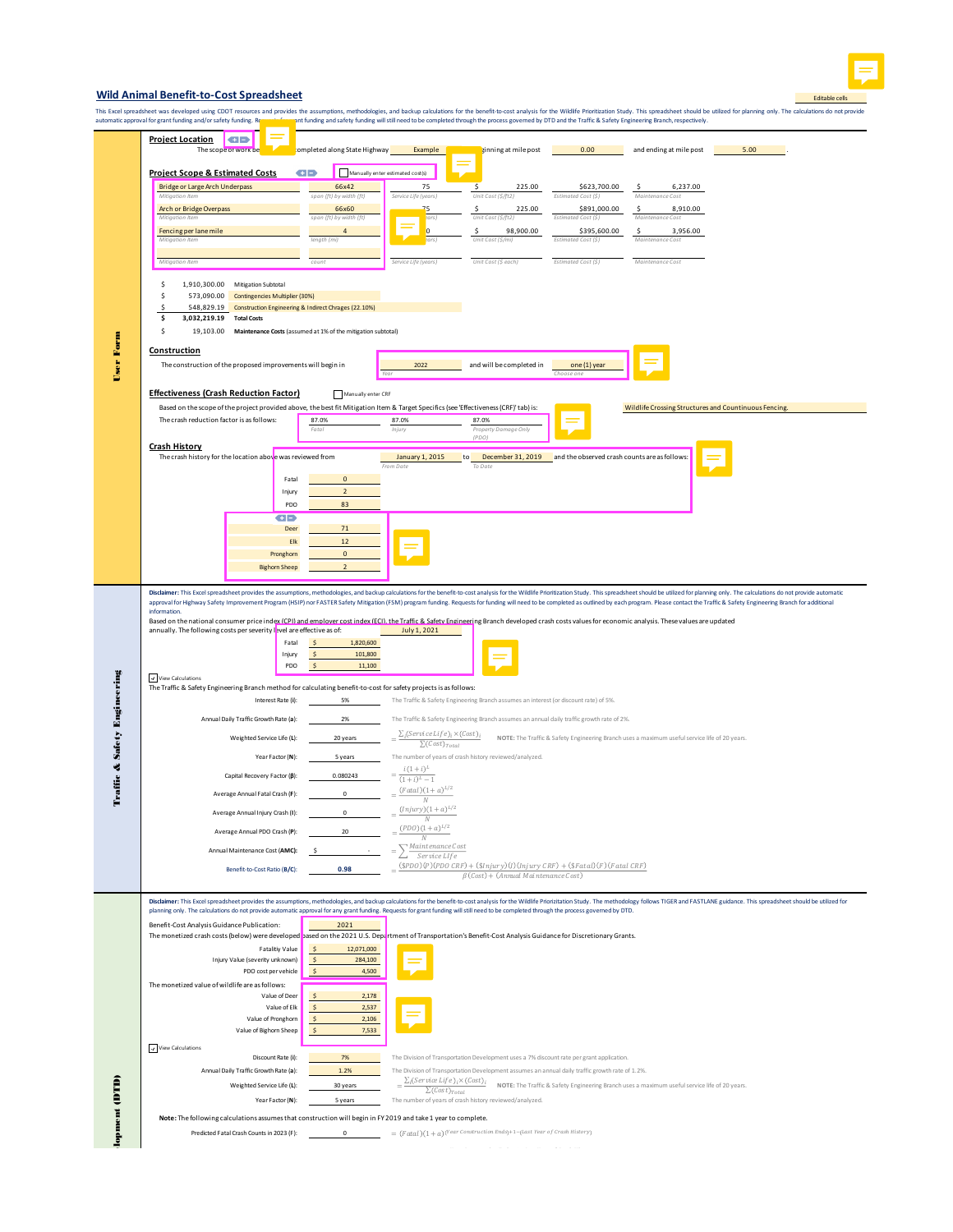

## **Wild Animal Benefit-to-Cost Spreadsheet**

This Excel speed when the only a speed on the summan of the assumptions, methodologies, and backup cakulations for the benefit to cost analysis for the vilklife Prioride end provide with the distributions of the State Sect

|                                         | rutomatic approvanior grant funding and/or safety funding                                                                                                                                                                                                                                                                                                                                                                                                        |                                                              | пстановерсия в несутановерсия в современность последного высоком, как не последно в современность и делоганнос                                                                                                                 |  |
|-----------------------------------------|------------------------------------------------------------------------------------------------------------------------------------------------------------------------------------------------------------------------------------------------------------------------------------------------------------------------------------------------------------------------------------------------------------------------------------------------------------------|--------------------------------------------------------------|--------------------------------------------------------------------------------------------------------------------------------------------------------------------------------------------------------------------------------|--|
|                                         | <b>Project Location</b><br>GD                                                                                                                                                                                                                                                                                                                                                                                                                                    |                                                              |                                                                                                                                                                                                                                |  |
| <b>User Form</b>                        | The scope of work be                                                                                                                                                                                                                                                                                                                                                                                                                                             | completed along State Highway                                | 0.00<br>Example<br>ginning at mile post<br>and ending at mile post<br>5.00                                                                                                                                                     |  |
|                                         |                                                                                                                                                                                                                                                                                                                                                                                                                                                                  |                                                              |                                                                                                                                                                                                                                |  |
|                                         | <b>Project Scope &amp; Estimated Costs</b>                                                                                                                                                                                                                                                                                                                                                                                                                       | GD                                                           | Manually enter estimated cost(s)                                                                                                                                                                                               |  |
|                                         | <b>Bridge or Large Arch Underpass</b>                                                                                                                                                                                                                                                                                                                                                                                                                            | 66x42                                                        | 75<br>225.00<br>\$623,700.00<br>6,237.00<br>S                                                                                                                                                                                  |  |
|                                         | Mitigation Item                                                                                                                                                                                                                                                                                                                                                                                                                                                  | span (ft) by width (ft)                                      | Service Life (years)<br>Unit Cost (\$/ft2)<br>Maintenance Cost<br>Estimated Cost (S)                                                                                                                                           |  |
|                                         | Arch or Bridge Overpass                                                                                                                                                                                                                                                                                                                                                                                                                                          | 66x60                                                        | 75<br>\$.<br>225.00<br>\$891,000.00<br>\$<br>8,910.00                                                                                                                                                                          |  |
|                                         | Mitigation Item                                                                                                                                                                                                                                                                                                                                                                                                                                                  | span (ft) by width (ft)                                      | ears)<br>Unit Cost (\$/ft2)<br>Estimated Cost (\$)<br>Maintenance Cost                                                                                                                                                         |  |
|                                         | Fencing per lane mile                                                                                                                                                                                                                                                                                                                                                                                                                                            |                                                              | $\overline{\mathbf{0}}$<br>98,900.00<br>\$395,600.00<br>$\frac{1}{2}$<br>\$.<br>3,956.00                                                                                                                                       |  |
|                                         | Mitigation Item                                                                                                                                                                                                                                                                                                                                                                                                                                                  | length (mi)                                                  | Unit Cost (\$/mi)<br>Estimated Cost (\$)<br>ears<br>Maintenance Cost                                                                                                                                                           |  |
|                                         |                                                                                                                                                                                                                                                                                                                                                                                                                                                                  |                                                              |                                                                                                                                                                                                                                |  |
|                                         | Mitigation Item                                                                                                                                                                                                                                                                                                                                                                                                                                                  | count                                                        | Service Life (years)<br>Unit Cost (\$ each)<br>Estimated Cost (\$)<br>Maintenance Cost                                                                                                                                         |  |
|                                         |                                                                                                                                                                                                                                                                                                                                                                                                                                                                  |                                                              |                                                                                                                                                                                                                                |  |
|                                         | \$<br>1,910,300.00<br>Mitigation Subtotal                                                                                                                                                                                                                                                                                                                                                                                                                        |                                                              |                                                                                                                                                                                                                                |  |
|                                         | \$<br>573,090.00<br><b>Contingencies Multiplier (30%)</b>                                                                                                                                                                                                                                                                                                                                                                                                        |                                                              |                                                                                                                                                                                                                                |  |
|                                         | Construction Engineering & Indirect Chrages (22.10%)<br>\$<br>548,829.19                                                                                                                                                                                                                                                                                                                                                                                         |                                                              |                                                                                                                                                                                                                                |  |
|                                         | \$<br>3,032,219.19<br><b>Total Costs</b>                                                                                                                                                                                                                                                                                                                                                                                                                         |                                                              |                                                                                                                                                                                                                                |  |
|                                         | \$<br>19,103.00                                                                                                                                                                                                                                                                                                                                                                                                                                                  | Maintenance Costs (assumed at 1% of the mitigation subtotal) |                                                                                                                                                                                                                                |  |
|                                         | Construction                                                                                                                                                                                                                                                                                                                                                                                                                                                     |                                                              |                                                                                                                                                                                                                                |  |
|                                         |                                                                                                                                                                                                                                                                                                                                                                                                                                                                  |                                                              |                                                                                                                                                                                                                                |  |
|                                         | The construction of the proposed improvements will begin in                                                                                                                                                                                                                                                                                                                                                                                                      |                                                              | one (1) year<br>2022<br>and will be completed in<br>Choose one<br>Year                                                                                                                                                         |  |
|                                         |                                                                                                                                                                                                                                                                                                                                                                                                                                                                  |                                                              |                                                                                                                                                                                                                                |  |
|                                         | <b>Effectiveness (Crash Reduction Factor)</b>                                                                                                                                                                                                                                                                                                                                                                                                                    |                                                              | Manually enter CRF                                                                                                                                                                                                             |  |
|                                         |                                                                                                                                                                                                                                                                                                                                                                                                                                                                  |                                                              | Based on the scope of the project provided above, the best fit Mitigation Item & Target Specifics (see 'Effectiveness (CRF)' tab) is:<br>Wildlife Crossing Structures and Countinuous Fencing.                                 |  |
|                                         | The crash reduction factor is as follows:                                                                                                                                                                                                                                                                                                                                                                                                                        | 87.0%                                                        | 87.0%<br>87.0%                                                                                                                                                                                                                 |  |
|                                         |                                                                                                                                                                                                                                                                                                                                                                                                                                                                  | Fatal                                                        | <i>Injury</i><br>Property Damage Only                                                                                                                                                                                          |  |
|                                         |                                                                                                                                                                                                                                                                                                                                                                                                                                                                  |                                                              | (POO)                                                                                                                                                                                                                          |  |
|                                         | <b>Crash History</b>                                                                                                                                                                                                                                                                                                                                                                                                                                             |                                                              |                                                                                                                                                                                                                                |  |
|                                         | The crash history for the location above was reviewed from                                                                                                                                                                                                                                                                                                                                                                                                       |                                                              | <b>January 1, 2015</b><br>December 31, 2019<br>and the observed crash counts are as follows:<br>to<br>From Date<br>To Date                                                                                                     |  |
|                                         |                                                                                                                                                                                                                                                                                                                                                                                                                                                                  |                                                              |                                                                                                                                                                                                                                |  |
|                                         |                                                                                                                                                                                                                                                                                                                                                                                                                                                                  | Fatal<br>$\mathbf{0}$                                        |                                                                                                                                                                                                                                |  |
|                                         |                                                                                                                                                                                                                                                                                                                                                                                                                                                                  | $\overline{2}$<br>Injury                                     |                                                                                                                                                                                                                                |  |
|                                         |                                                                                                                                                                                                                                                                                                                                                                                                                                                                  | 83<br>PDO                                                    |                                                                                                                                                                                                                                |  |
|                                         |                                                                                                                                                                                                                                                                                                                                                                                                                                                                  | GD                                                           |                                                                                                                                                                                                                                |  |
|                                         |                                                                                                                                                                                                                                                                                                                                                                                                                                                                  | Deer<br>71                                                   |                                                                                                                                                                                                                                |  |
|                                         |                                                                                                                                                                                                                                                                                                                                                                                                                                                                  | 12<br>Elk                                                    |                                                                                                                                                                                                                                |  |
|                                         |                                                                                                                                                                                                                                                                                                                                                                                                                                                                  | $\mathbf 0$<br>Pronghom                                      |                                                                                                                                                                                                                                |  |
|                                         |                                                                                                                                                                                                                                                                                                                                                                                                                                                                  | $\overline{2}$<br><b>Bighom Sheep</b>                        |                                                                                                                                                                                                                                |  |
|                                         |                                                                                                                                                                                                                                                                                                                                                                                                                                                                  |                                                              |                                                                                                                                                                                                                                |  |
|                                         |                                                                                                                                                                                                                                                                                                                                                                                                                                                                  |                                                              |                                                                                                                                                                                                                                |  |
|                                         | Disclaimer: This Excel spreadsheet provides the assumptions, methodologies, and backup calculations for the benefit-to-cost analysis for the Wildlife Prioritization Study. This spreadsheet should be utilized for planning o<br>approval for Highway Safety Improvement Program (HSIP) nor FASTER Safety Mitigation (FSM) program funding. Requests for funding will need to be completed as outlined by each program. Please contact the Traffic & Safety Eng |                                                              |                                                                                                                                                                                                                                |  |
|                                         | information.                                                                                                                                                                                                                                                                                                                                                                                                                                                     |                                                              |                                                                                                                                                                                                                                |  |
|                                         |                                                                                                                                                                                                                                                                                                                                                                                                                                                                  |                                                              | Based on the national consumer price index (CPI) and emplover cost index (ECI), the Traffic & Safety Engineering Branch developed crash costs values for economic analysis. These values are updated                           |  |
|                                         | annually. The following costs per severity I wel are effective as of:                                                                                                                                                                                                                                                                                                                                                                                            |                                                              | July 1, 2021                                                                                                                                                                                                                   |  |
|                                         |                                                                                                                                                                                                                                                                                                                                                                                                                                                                  | Fatal                                                        | 1,820,600                                                                                                                                                                                                                      |  |
|                                         |                                                                                                                                                                                                                                                                                                                                                                                                                                                                  | Injury<br>-\$                                                | 101,800                                                                                                                                                                                                                        |  |
|                                         |                                                                                                                                                                                                                                                                                                                                                                                                                                                                  | $\ddot{\varsigma}$<br>PDO                                    | 11,100                                                                                                                                                                                                                         |  |
|                                         | View Calculations                                                                                                                                                                                                                                                                                                                                                                                                                                                |                                                              |                                                                                                                                                                                                                                |  |
|                                         | The Traffic & Safety Engineering Branch method for calculating benefit-to-cost for safety projects is as follows:                                                                                                                                                                                                                                                                                                                                                |                                                              |                                                                                                                                                                                                                                |  |
| <b>Traffic &amp; Safety Engineering</b> |                                                                                                                                                                                                                                                                                                                                                                                                                                                                  | Interest Rate (i):<br>5%                                     | The Traffic & Safety Engineering Branch assumes an interest (or discount rate) of 5%.                                                                                                                                          |  |
|                                         | Annual Daily Traffic Growth Rate (a):                                                                                                                                                                                                                                                                                                                                                                                                                            | 2%                                                           | The Traffic & Safety Engineering Branch assumes an annual daily traffic growth rate of 2%.                                                                                                                                     |  |
|                                         |                                                                                                                                                                                                                                                                                                                                                                                                                                                                  |                                                              |                                                                                                                                                                                                                                |  |
|                                         | Weighted Service Life (L):                                                                                                                                                                                                                                                                                                                                                                                                                                       | 20 years                                                     | $\sum_i (Service\, Life)_i \times (Cost)_i$<br>NOTE: The Traffic & Safety Engineering Branch uses a maximum useful service life of 20 years.                                                                                   |  |
|                                         |                                                                                                                                                                                                                                                                                                                                                                                                                                                                  |                                                              | $\sum (Cost)_{Total}$                                                                                                                                                                                                          |  |
|                                         |                                                                                                                                                                                                                                                                                                                                                                                                                                                                  | Year Factor (N):<br>5 years                                  | The number of years of crash history reviewed/analyzed.                                                                                                                                                                        |  |
|                                         | Capital Recovery Factor (B):                                                                                                                                                                                                                                                                                                                                                                                                                                     | 0.080243                                                     | $i(1+i)^L$                                                                                                                                                                                                                     |  |
|                                         |                                                                                                                                                                                                                                                                                                                                                                                                                                                                  |                                                              | $(1+i)^{L}-1$<br>$(Fatal)(1+a)^{L/2}$                                                                                                                                                                                          |  |
|                                         | Average Annual Fatal Crash (F):                                                                                                                                                                                                                                                                                                                                                                                                                                  | $\mathbf 0$                                                  | $\cal N$                                                                                                                                                                                                                       |  |
|                                         | Average Annual Injury Crash (I):                                                                                                                                                                                                                                                                                                                                                                                                                                 | $\mathbf 0$                                                  | $(Injury)(1+a)^{L/2}$                                                                                                                                                                                                          |  |
|                                         |                                                                                                                                                                                                                                                                                                                                                                                                                                                                  |                                                              |                                                                                                                                                                                                                                |  |
|                                         | Average Annual PDO Crash (P):                                                                                                                                                                                                                                                                                                                                                                                                                                    | 20                                                           | $(PDO)(1+a)^{L/2}$                                                                                                                                                                                                             |  |
|                                         |                                                                                                                                                                                                                                                                                                                                                                                                                                                                  |                                                              | Maintenance Cost                                                                                                                                                                                                               |  |
|                                         | Annual Maintenance Cost (AMC):                                                                                                                                                                                                                                                                                                                                                                                                                                   |                                                              | Service LIfe                                                                                                                                                                                                                   |  |
|                                         | Benefit-to-Cost Ratio (B/C):                                                                                                                                                                                                                                                                                                                                                                                                                                     | 0.98                                                         | $(SPDO)(P)(PDO CRF) + (SInjury)(I)(Injury CRF) + (SFatal)(F)(Fatal CRF)$                                                                                                                                                       |  |
|                                         |                                                                                                                                                                                                                                                                                                                                                                                                                                                                  |                                                              | $\beta$ (Cost) + (Annual Maintenance Cost)                                                                                                                                                                                     |  |
|                                         |                                                                                                                                                                                                                                                                                                                                                                                                                                                                  |                                                              |                                                                                                                                                                                                                                |  |
|                                         |                                                                                                                                                                                                                                                                                                                                                                                                                                                                  |                                                              | Disclaimer: This Excel spreadsheet provides the assumptions, methodologies, and backup calculations for the benefit-to-cost analysis for the Wildlife Priorizitation Study. The methodolog follows TIGER and FASTLANE guidance |  |
|                                         |                                                                                                                                                                                                                                                                                                                                                                                                                                                                  |                                                              | planning only. The calculations do not provide automatic approval for any grant funding. Requests for grant funding will still need to be completed through the process governed by DTD.                                       |  |
|                                         | Benefit-Cost Analysis Guidance Publication:                                                                                                                                                                                                                                                                                                                                                                                                                      | 2021                                                         |                                                                                                                                                                                                                                |  |
|                                         |                                                                                                                                                                                                                                                                                                                                                                                                                                                                  |                                                              | The monetized crash costs (below) were developed pased on the 2021 U.S. Depintment of Transportation's Benefit-Cost Analysis Guidance for Discretionary Grants.                                                                |  |
|                                         |                                                                                                                                                                                                                                                                                                                                                                                                                                                                  | <b>Fatalitiy Value</b>                                       | 12,071,000                                                                                                                                                                                                                     |  |
|                                         | Injury Value (severity unknown)                                                                                                                                                                                                                                                                                                                                                                                                                                  | $\ddot{\mathsf{s}}$                                          | 284,100                                                                                                                                                                                                                        |  |
|                                         | PDO cost per vehicle                                                                                                                                                                                                                                                                                                                                                                                                                                             | $\ddot{\mathsf{s}}$                                          | 4,500                                                                                                                                                                                                                          |  |
|                                         | The monetized value of wildlife are as follows:                                                                                                                                                                                                                                                                                                                                                                                                                  |                                                              |                                                                                                                                                                                                                                |  |
|                                         |                                                                                                                                                                                                                                                                                                                                                                                                                                                                  | Value of Deer<br>$\ddot{\phantom{1}}$                        | 2,178                                                                                                                                                                                                                          |  |
|                                         |                                                                                                                                                                                                                                                                                                                                                                                                                                                                  | $\boldsymbol{\mathsf{S}}$<br>Value of Elk                    | 2,537                                                                                                                                                                                                                          |  |
|                                         | Value of Pronghom                                                                                                                                                                                                                                                                                                                                                                                                                                                | $\frac{1}{2}$                                                | 2,106                                                                                                                                                                                                                          |  |
|                                         | Value of Bighom Sheep                                                                                                                                                                                                                                                                                                                                                                                                                                            | $\ddot{\phi}$                                                | 7,533                                                                                                                                                                                                                          |  |
|                                         | View Calculations                                                                                                                                                                                                                                                                                                                                                                                                                                                |                                                              |                                                                                                                                                                                                                                |  |
|                                         |                                                                                                                                                                                                                                                                                                                                                                                                                                                                  | 7%<br>Discount Rate (i):                                     | The Division of Transportation Development uses a 7% discount rate per grant application.                                                                                                                                      |  |
|                                         | Annual Daily Traffic Growth Rate (a):                                                                                                                                                                                                                                                                                                                                                                                                                            | 1.2%                                                         | The Division of Transportation Development assumes an annual daily traffic growth rate of 1.2%.                                                                                                                                |  |
|                                         |                                                                                                                                                                                                                                                                                                                                                                                                                                                                  |                                                              |                                                                                                                                                                                                                                |  |
| lopment (DTD)                           | Weighted Service Life (L):                                                                                                                                                                                                                                                                                                                                                                                                                                       | 30 years                                                     | $\frac{\sum_l (Service \, Life)_l \times (Cost)_l}{\sum (Cost)_{Total}}$<br>NOTE: The Traffic & Safety Engineering Branch uses a maximum useful service life of 20 years.                                                      |  |
|                                         |                                                                                                                                                                                                                                                                                                                                                                                                                                                                  | Year Factor (N):<br>5 years                                  | The number of years of crash history reviewed/analyzed.                                                                                                                                                                        |  |
|                                         |                                                                                                                                                                                                                                                                                                                                                                                                                                                                  |                                                              |                                                                                                                                                                                                                                |  |
|                                         |                                                                                                                                                                                                                                                                                                                                                                                                                                                                  |                                                              | Note: The following calculations assumes that construction will begin in FY 2019 and take 1 year to complete.                                                                                                                  |  |
|                                         | Predicted Fatal Crash Counts in 2023 (F):                                                                                                                                                                                                                                                                                                                                                                                                                        | $\circ$                                                      | $=(Fatal)(1+a)^{(Year \:Construction \:Ends)+1-(Last \: Year \: of \: Crash \: History)}$                                                                                                                                      |  |
|                                         |                                                                                                                                                                                                                                                                                                                                                                                                                                                                  |                                                              |                                                                                                                                                                                                                                |  |
|                                         |                                                                                                                                                                                                                                                                                                                                                                                                                                                                  |                                                              |                                                                                                                                                                                                                                |  |
|                                         |                                                                                                                                                                                                                                                                                                                                                                                                                                                                  |                                                              |                                                                                                                                                                                                                                |  |
|                                         |                                                                                                                                                                                                                                                                                                                                                                                                                                                                  |                                                              |                                                                                                                                                                                                                                |  |
|                                         |                                                                                                                                                                                                                                                                                                                                                                                                                                                                  |                                                              |                                                                                                                                                                                                                                |  |
|                                         |                                                                                                                                                                                                                                                                                                                                                                                                                                                                  |                                                              |                                                                                                                                                                                                                                |  |
|                                         |                                                                                                                                                                                                                                                                                                                                                                                                                                                                  |                                                              |                                                                                                                                                                                                                                |  |
|                                         |                                                                                                                                                                                                                                                                                                                                                                                                                                                                  |                                                              |                                                                                                                                                                                                                                |  |
|                                         |                                                                                                                                                                                                                                                                                                                                                                                                                                                                  |                                                              |                                                                                                                                                                                                                                |  |
|                                         |                                                                                                                                                                                                                                                                                                                                                                                                                                                                  |                                                              |                                                                                                                                                                                                                                |  |
|                                         |                                                                                                                                                                                                                                                                                                                                                                                                                                                                  |                                                              |                                                                                                                                                                                                                                |  |
|                                         |                                                                                                                                                                                                                                                                                                                                                                                                                                                                  |                                                              |                                                                                                                                                                                                                                |  |
|                                         |                                                                                                                                                                                                                                                                                                                                                                                                                                                                  |                                                              |                                                                                                                                                                                                                                |  |
|                                         |                                                                                                                                                                                                                                                                                                                                                                                                                                                                  |                                                              |                                                                                                                                                                                                                                |  |